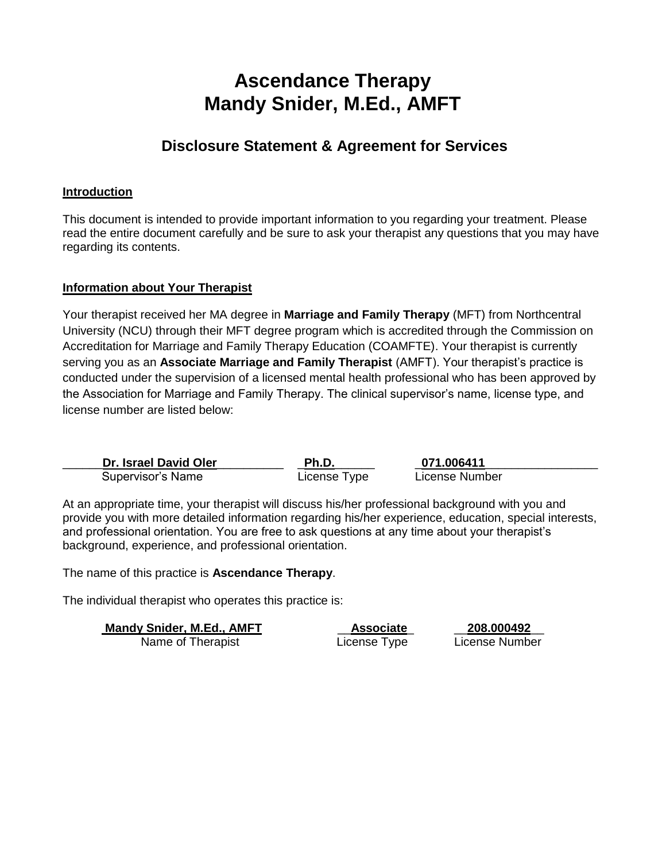## **Ascendance Therapy Mandy Snider, M.Ed., AMFT**

### **Disclosure Statement & Agreement for Services**

#### **Introduction**

This document is intended to provide important information to you regarding your treatment. Please read the entire document carefully and be sure to ask your therapist any questions that you may have regarding its contents.

#### **Information about Your Therapist**

Your therapist received her MA degree in **Marriage and Family Therapy** (MFT) from Northcentral University (NCU) through their MFT degree program which is accredited through the Commission on Accreditation for Marriage and Family Therapy Education (COAMFTE). Your therapist is currently serving you as an **Associate Marriage and Family Therapist** (AMFT). Your therapist's practice is conducted under the supervision of a licensed mental health professional who has been approved by the Association for Marriage and Family Therapy. The clinical supervisor's name, license type, and license number are listed below:

| Dr. Israel David Oler | Ph.D.        | 071.006411     |  |
|-----------------------|--------------|----------------|--|
| Supervisor's Name     | License Type | License Number |  |

At an appropriate time, your therapist will discuss his/her professional background with you and provide you with more detailed information regarding his/her experience, education, special interests, and professional orientation. You are free to ask questions at any time about your therapist's background, experience, and professional orientation.

The name of this practice is **Ascendance Therapy**.

The individual therapist who operates this practice is:

**Mandy Snider, M.Ed., AMFT** \_\_**Associate**\_ \_\_**208.000492**\_\_ Name of Therapist **Name of Therapist** License Type License Number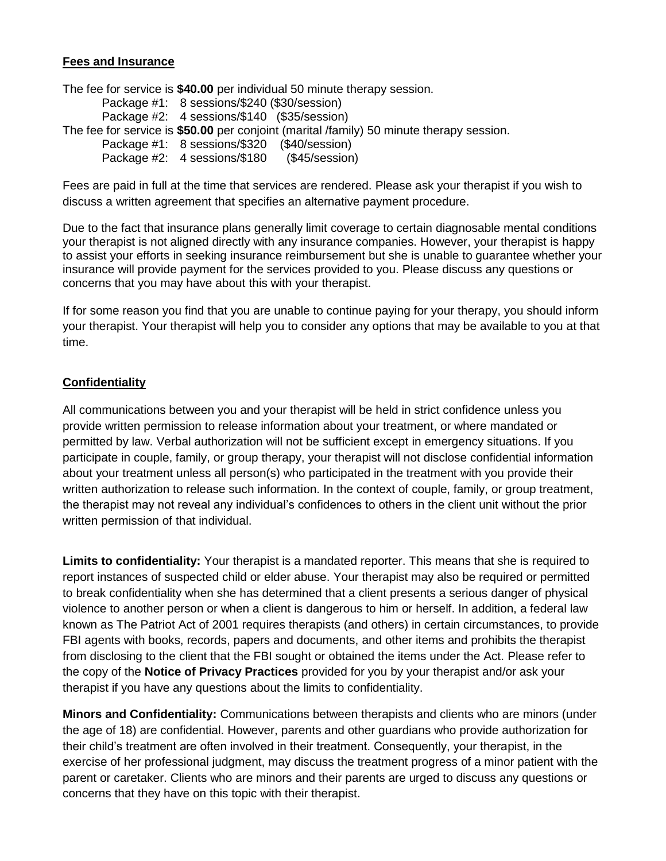#### **Fees and Insurance**

The fee for service is **\$40.00** per individual 50 minute therapy session. Package #1: 8 sessions/\$240 (\$30/session) Package #2: 4 sessions/\$140 (\$35/session) The fee for service is **\$50.00** per conjoint (marital /family) 50 minute therapy session. Package #1: 8 sessions/\$320 (\$40/session) Package #2: 4 sessions/\$180 (\$45/session)

Fees are paid in full at the time that services are rendered. Please ask your therapist if you wish to discuss a written agreement that specifies an alternative payment procedure.

Due to the fact that insurance plans generally limit coverage to certain diagnosable mental conditions your therapist is not aligned directly with any insurance companies. However, your therapist is happy to assist your efforts in seeking insurance reimbursement but she is unable to guarantee whether your insurance will provide payment for the services provided to you. Please discuss any questions or concerns that you may have about this with your therapist.

If for some reason you find that you are unable to continue paying for your therapy, you should inform your therapist. Your therapist will help you to consider any options that may be available to you at that time.

#### **Confidentiality**

All communications between you and your therapist will be held in strict confidence unless you provide written permission to release information about your treatment, or where mandated or permitted by law. Verbal authorization will not be sufficient except in emergency situations. If you participate in couple, family, or group therapy, your therapist will not disclose confidential information about your treatment unless all person(s) who participated in the treatment with you provide their written authorization to release such information. In the context of couple, family, or group treatment, the therapist may not reveal any individual's confidences to others in the client unit without the prior written permission of that individual.

**Limits to confidentiality:** Your therapist is a mandated reporter. This means that she is required to report instances of suspected child or elder abuse. Your therapist may also be required or permitted to break confidentiality when she has determined that a client presents a serious danger of physical violence to another person or when a client is dangerous to him or herself. In addition, a federal law known as The Patriot Act of 2001 requires therapists (and others) in certain circumstances, to provide FBI agents with books, records, papers and documents, and other items and prohibits the therapist from disclosing to the client that the FBI sought or obtained the items under the Act. Please refer to the copy of the **Notice of Privacy Practices** provided for you by your therapist and/or ask your therapist if you have any questions about the limits to confidentiality.

**Minors and Confidentiality:** Communications between therapists and clients who are minors (under the age of 18) are confidential. However, parents and other guardians who provide authorization for their child's treatment are often involved in their treatment. Consequently, your therapist, in the exercise of her professional judgment, may discuss the treatment progress of a minor patient with the parent or caretaker. Clients who are minors and their parents are urged to discuss any questions or concerns that they have on this topic with their therapist.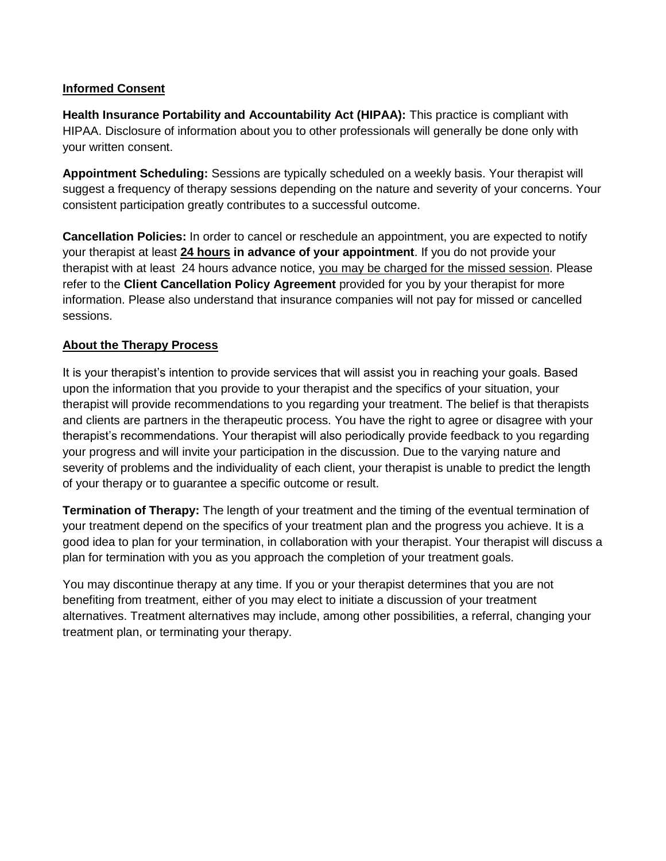#### **Informed Consent**

**Health Insurance Portability and Accountability Act (HIPAA):** This practice is compliant with HIPAA. Disclosure of information about you to other professionals will generally be done only with your written consent.

**Appointment Scheduling:** Sessions are typically scheduled on a weekly basis. Your therapist will suggest a frequency of therapy sessions depending on the nature and severity of your concerns. Your consistent participation greatly contributes to a successful outcome.

**Cancellation Policies:** In order to cancel or reschedule an appointment, you are expected to notify your therapist at least **24 hours in advance of your appointment**. If you do not provide your therapist with at least 24 hours advance notice, you may be charged for the missed session. Please refer to the **Client Cancellation Policy Agreement** provided for you by your therapist for more information. Please also understand that insurance companies will not pay for missed or cancelled sessions.

#### **About the Therapy Process**

It is your therapist's intention to provide services that will assist you in reaching your goals. Based upon the information that you provide to your therapist and the specifics of your situation, your therapist will provide recommendations to you regarding your treatment. The belief is that therapists and clients are partners in the therapeutic process. You have the right to agree or disagree with your therapist's recommendations. Your therapist will also periodically provide feedback to you regarding your progress and will invite your participation in the discussion. Due to the varying nature and severity of problems and the individuality of each client, your therapist is unable to predict the length of your therapy or to guarantee a specific outcome or result.

**Termination of Therapy:** The length of your treatment and the timing of the eventual termination of your treatment depend on the specifics of your treatment plan and the progress you achieve. It is a good idea to plan for your termination, in collaboration with your therapist. Your therapist will discuss a plan for termination with you as you approach the completion of your treatment goals.

You may discontinue therapy at any time. If you or your therapist determines that you are not benefiting from treatment, either of you may elect to initiate a discussion of your treatment alternatives. Treatment alternatives may include, among other possibilities, a referral, changing your treatment plan, or terminating your therapy.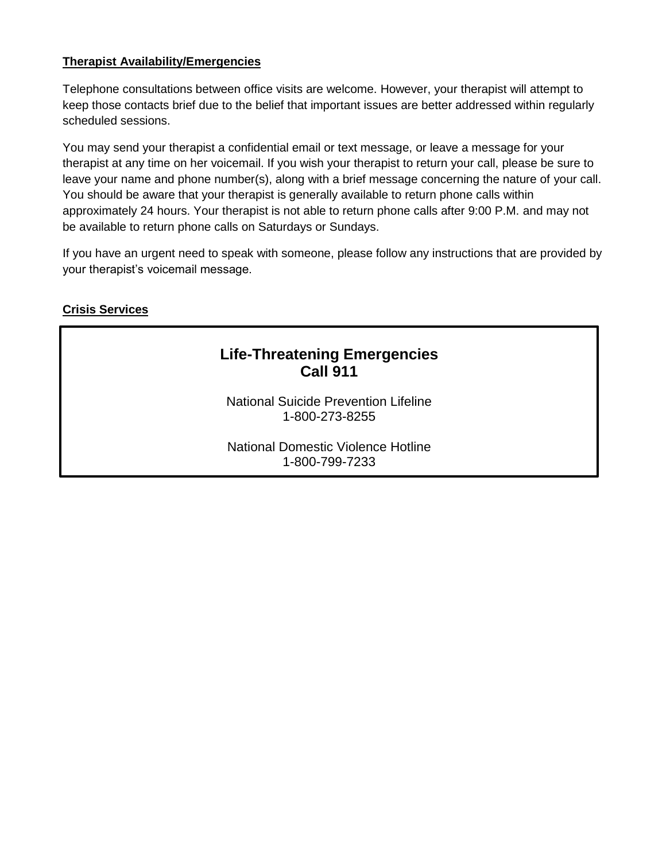#### **Therapist Availability/Emergencies**

Telephone consultations between office visits are welcome. However, your therapist will attempt to keep those contacts brief due to the belief that important issues are better addressed within regularly scheduled sessions.

You may send your therapist a confidential email or text message, or leave a message for your therapist at any time on her voicemail. If you wish your therapist to return your call, please be sure to leave your name and phone number(s), along with a brief message concerning the nature of your call. You should be aware that your therapist is generally available to return phone calls within approximately 24 hours. Your therapist is not able to return phone calls after 9:00 P.M. and may not be available to return phone calls on Saturdays or Sundays.

If you have an urgent need to speak with someone, please follow any instructions that are provided by your therapist's voicemail message.

#### **Crisis Services**

### **Life-Threatening Emergencies Call 911**

National Suicide Prevention Lifeline 1-800-273-8255

National Domestic Violence Hotline 1-800-799-7233